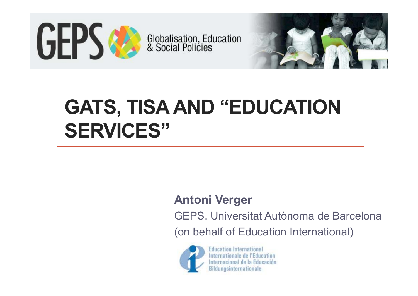



# **GATS, TISA AND "EDUCATION SERVICES"**

#### **Antoni Verger**

GEPS. Universitat Autònoma de Barcelona

(on behalf of Education International)



**Education International** Internationale de l'Education Internacional de la Educación **Bildungsinternationale**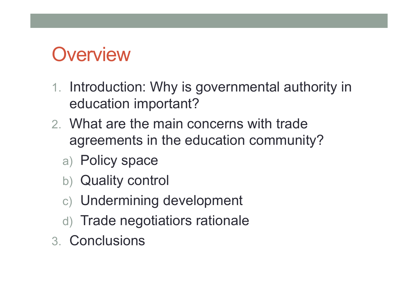## **Overview**

- 1. Introduction: Why is governmental authority in education important?
- 2. What are the main concerns with trade agreements in the education community?
	- a) Policy space
	- b) Quality control
	- c) Undermining development
	- d) Trade negotiatiors rationale
- 3. Conclusions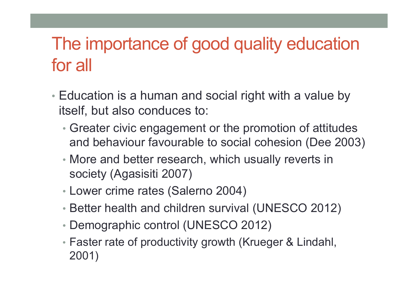#### The importance of good quality education for all

- Education is a human and social right with a value by itself, but also conduces to:
	- Greater civic engagement or the promotion of attitudes and behaviour favourable to social cohesion (Dee 2003)
	- More and better research, which usually reverts in society (Agasisiti 2007)
	- Lower crime rates (Salerno 2004)
	- Better health and children survival (UNESCO 2012)
	- Demographic control (UNESCO 2012)
	- Faster rate of productivity growth (Krueger & Lindahl, 2001)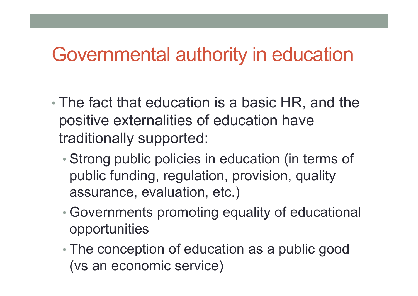#### Governmental authority in education

- • The fact that education is a basic HR, and the positive externalities of education have traditionally supported:
	- • Strong public policies in education (in terms of public funding, regulation, provision, quality assurance, evaluation, etc.)
	- • Governments promoting equality of educational opportunities
	- • The conception of education as a public good (vs an economic service)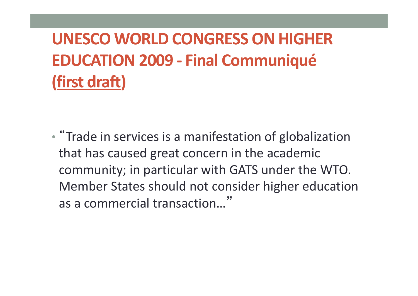**UNESCO WORLD CONGRESS ON HIGHER EDUCATION 2009 ‐ Final Communiqué (first draft)**

• "Trade in services is <sup>a</sup> manifestation of globalization that has caused great concern in the academic community; in particular with GATS under the WTO. Member States should not consider higher education as a commercial transaction…"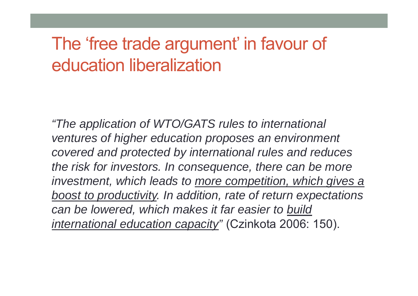#### The 'free trade argument' in favour of education liberalization

*"The application of WTO/GATS rules to international ventures of higher education proposes an environment covered and protected by international rules and reduces the risk for investors. In consequence, there can be more investment, which leads to more competition, which gives a boost to productivity. In addition, rate of return expectations can be lowered, which makes it far easier to build international education capacity"* (Czinkota 2006: 150).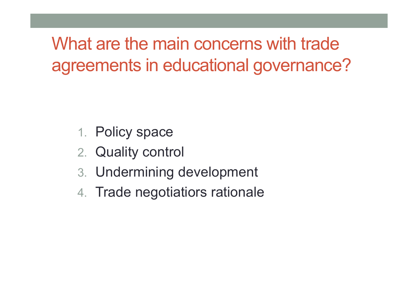What are the main concerns with trade agreements in educational governance?

- 1. Policy space
- 2. Quality control
- 3. Undermining development
- 4. Trade negotiatiors rationale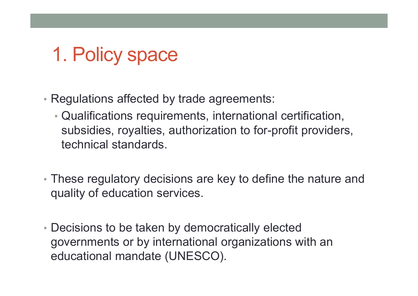## 1. Policy space

- Regulations affected by trade agreements:
	- Qualifications requirements, international certification, subsidies, royalties, authorization to for-profit providers, technical standards.
- These regulatory decisions are key to define the nature and quality of education services.
- Decisions to be taken by democratically elected governments or by international organizations with an educational mandate (UNESCO).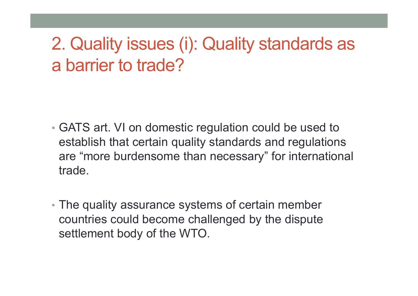#### 2. Quality issues (i): Quality standards as a barrier to trade?

- GATS art. VI on domestic regulation could be used to establish that certain quality standards and regulations are "more burdensome than necessary" for international trade.
- The quality assurance systems of certain member countries could become challenged by the dispute settlement body of the WTO.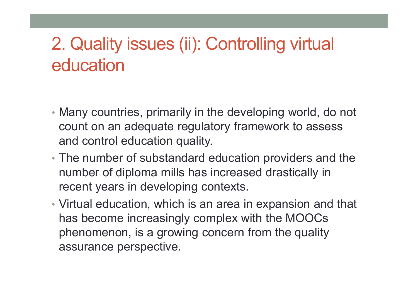#### 2. Quality issues (ii): Controlling virtual education

- Many countries, primarily in the developing world, do not count on an adequate regulatory framework to assess and control education quality.
- The number of substandard education providers and the number of diploma mills has increased drastically in recent years in developing contexts.
- Virtual education, which is an area in expansion and that has become increasingly complex with the MOOCs phenomenon, is a growing concern from the quality assurance perspective.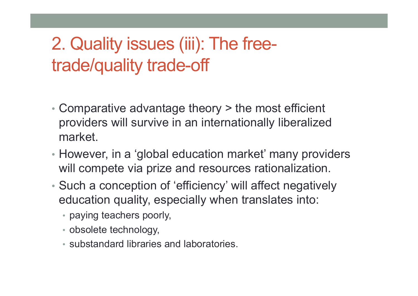#### 2. Quality issues (iii): The freetrade/quality trade-off

- Comparative advantage theory > the most efficient providers will survive in an internationally liberalized market.
- However, in a 'global education market' many providers will compete via prize and resources rationalization.
- Such a conception of 'efficiency' will affect negatively education quality, especially when translates into:
	- paying teachers poorly,
	- obsolete technology,
	- substandard libraries and laboratories.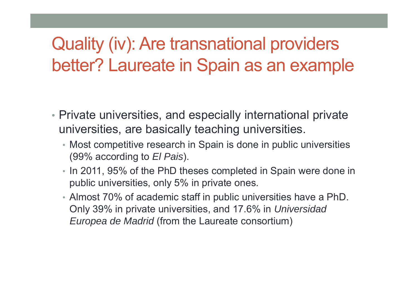#### Quality (iv): Are transnational providers better? Laureate in Spain as an example

- Private universities, and especially international private universities, are basically teaching universities.
	- Most competitive research in Spain is done in public universities (99% according to *El Pais*).
	- In 2011, 95% of the PhD theses completed in Spain were done in public universities, only 5% in private ones.
	- Almost 70% of academic staff in public universities have a PhD. Only 39% in private universities, and 17.6% in *Universidad Europea de Madrid* (from the Laureate consortium)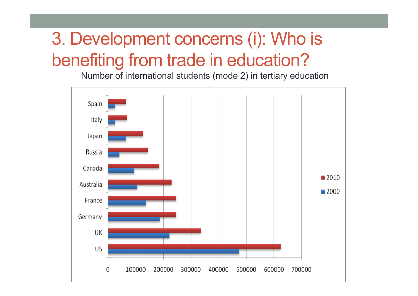### 3. Development concerns (i): Who is benefiting from trade in education?

Number of international students (mode 2) in tertiary education

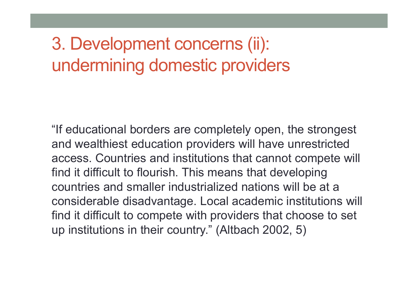#### 3. Development concerns (ii): undermining domestic providers

"If educational borders are completely open, the strongest and wealthiest education providers will have unrestricted access. Countries and institutions that cannot compete will find it difficult to flourish. This means that developing countries and smaller industrialized nations will be at a considerable disadvantage. Local academic institutions will find it difficult to compete with providers that choose to set up institutions in their country." (Altbach 2002, 5)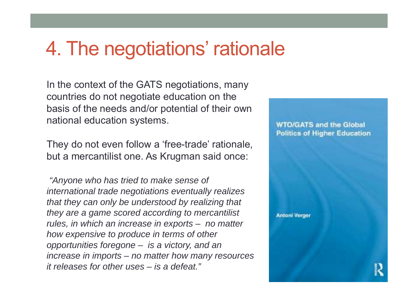#### 4. The negotiations' rationale

In the context of the GATS negotiations, many countries do not negotiate education on the basis of the needs and/or potential of their own national education systems.

They do not even follow <sup>a</sup>'free-trade' rationale, but a mercantilist one. As Krugman said once:

*"Anyone who has tried to make sense of international trade negotiations eventually realizes that they can only be understood by realizing that they are a game scored according to mercantilist rules, in which an increase in exports – no matter how expensive to produce in terms of other opportunities foregone – is a victory, and an increase in imports – no matter how many resources it releases for other uses – is a defeat."*

**WTO/GATS and the Global Politics of Higher Education** 

**Antoni Verger**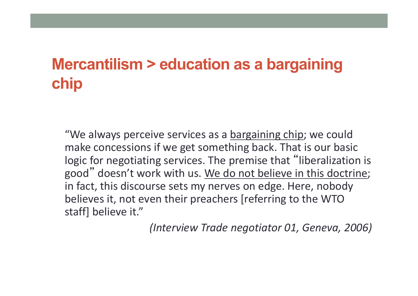#### **Mercantilism > education as a bargaining chip**

"We always perceive services as a <u>bargaining chip</u>; we could make concessions if we get something back. That is our basic logic for negotiating services. The premise that "liberalization is good" doesn't work with us. We do not believe in this doctrine; in fact, this discourse sets my nerves on edge. Here, nobody believes it, not even their preachers [referring to the WTO staff] believe it."

*(Interview Trade negotiator 01, Geneva, 2006)*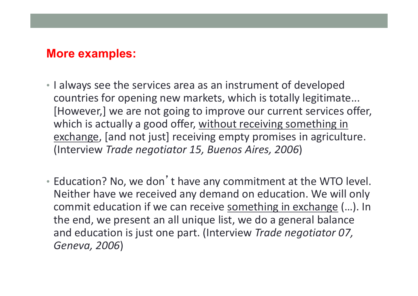#### **More examples:**

- I always see the services area as an instrument of developed countries for opening new markets, which is totally legitimate... [However,] we are not going to improve our current services offer, which is actually a good offer, <u>without receiving something in</u> exchange, [and not just] receiving empty promises in agriculture. (Interview *Trade negotiator 15, Buenos Aires, 2006*)
- Education? No, we don'<sup>t</sup> have any commitment at the WTO level. Neither have we received any demand on education. We will only commit education if we can receive **something in exchange (...).** In the end, we present an all unique list, we do <sup>a</sup> general balance and education is just one part. (Interview *Trade negotiator 07, Geneva, 2006*)